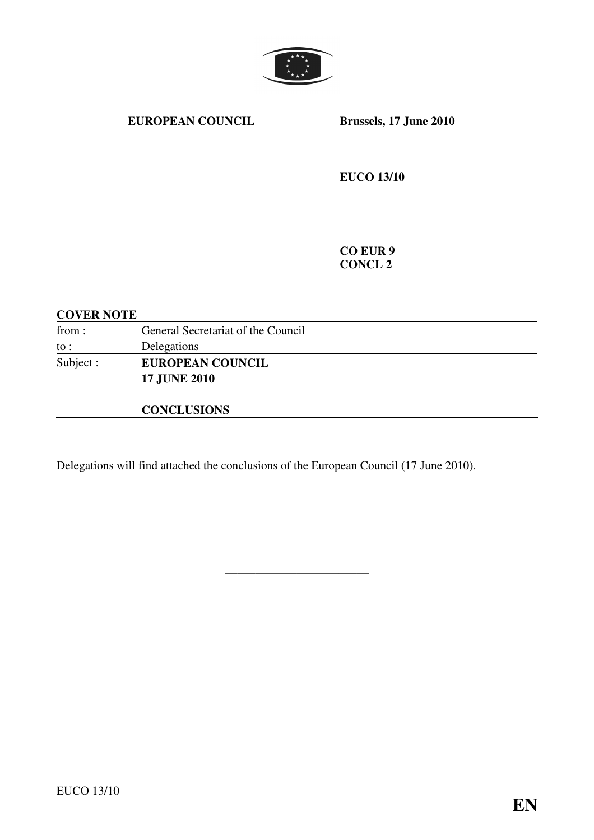

#### **EUROPEAN COUNCIL Brussels, 17 June 2010**

**EUCO 13/10** 

**CO EUR 9 CONCL 2** 

# **COVER NOTE**  from : General Secretariat of the Council to : Delegations Subject : **EUROPEAN COUNCIL 17 JUNE 2010 CONCLUSIONS**

\_\_\_\_\_\_\_\_\_\_\_\_\_\_\_\_\_\_\_\_\_\_\_\_

Delegations will find attached the conclusions of the European Council (17 June 2010).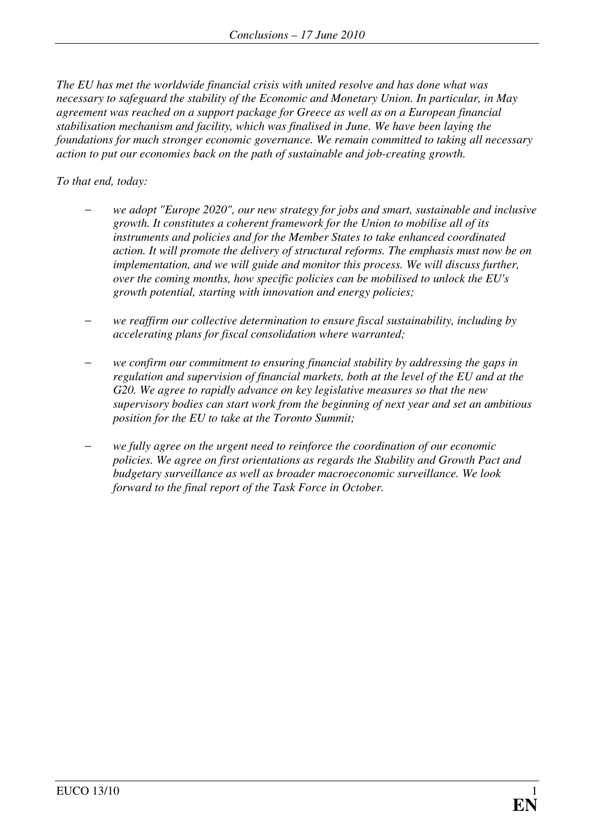*The EU has met the worldwide financial crisis with united resolve and has done what was necessary to safeguard the stability of the Economic and Monetary Union. In particular, in May agreement was reached on a support package for Greece as well as on a European financial stabilisation mechanism and facility, which was finalised in June. We have been laying the foundations for much stronger economic governance. We remain committed to taking all necessary action to put our economies back on the path of sustainable and job-creating growth.* 

#### *To that end, today:*

- − *we adopt "Europe 2020", our new strategy for jobs and smart, sustainable and inclusive growth. It constitutes a coherent framework for the Union to mobilise all of its instruments and policies and for the Member States to take enhanced coordinated action. It will promote the delivery of structural reforms. The emphasis must now be on implementation, and we will guide and monitor this process. We will discuss further, over the coming months, how specific policies can be mobilised to unlock the EU's growth potential, starting with innovation and energy policies;*
- − *we reaffirm our collective determination to ensure fiscal sustainability, including by accelerating plans for fiscal consolidation where warranted;*
- − *we confirm our commitment to ensuring financial stability by addressing the gaps in regulation and supervision of financial markets, both at the level of the EU and at the G20. We agree to rapidly advance on key legislative measures so that the new supervisory bodies can start work from the beginning of next year and set an ambitious position for the EU to take at the Toronto Summit;*
- − *we fully agree on the urgent need to reinforce the coordination of our economic policies. We agree on first orientations as regards the Stability and Growth Pact and budgetary surveillance as well as broader macroeconomic surveillance. We look forward to the final report of the Task Force in October.*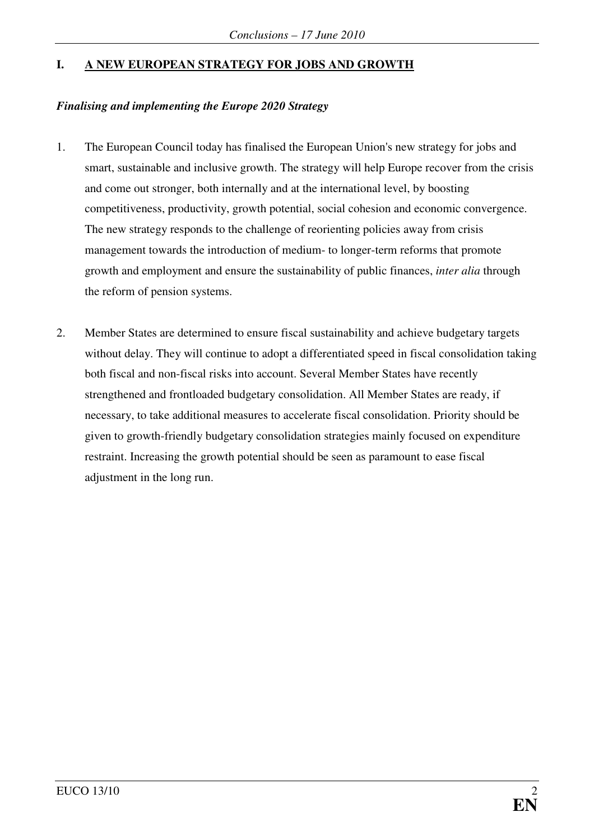## **I. A NEW EUROPEAN STRATEGY FOR JOBS AND GROWTH**

#### *Finalising and implementing the Europe 2020 Strategy*

- 1. The European Council today has finalised the European Union's new strategy for jobs and smart, sustainable and inclusive growth. The strategy will help Europe recover from the crisis and come out stronger, both internally and at the international level, by boosting competitiveness, productivity, growth potential, social cohesion and economic convergence. The new strategy responds to the challenge of reorienting policies away from crisis management towards the introduction of medium- to longer-term reforms that promote growth and employment and ensure the sustainability of public finances, *inter alia* through the reform of pension systems.
- 2. Member States are determined to ensure fiscal sustainability and achieve budgetary targets without delay. They will continue to adopt a differentiated speed in fiscal consolidation taking both fiscal and non-fiscal risks into account. Several Member States have recently strengthened and frontloaded budgetary consolidation. All Member States are ready, if necessary, to take additional measures to accelerate fiscal consolidation. Priority should be given to growth-friendly budgetary consolidation strategies mainly focused on expenditure restraint. Increasing the growth potential should be seen as paramount to ease fiscal adjustment in the long run.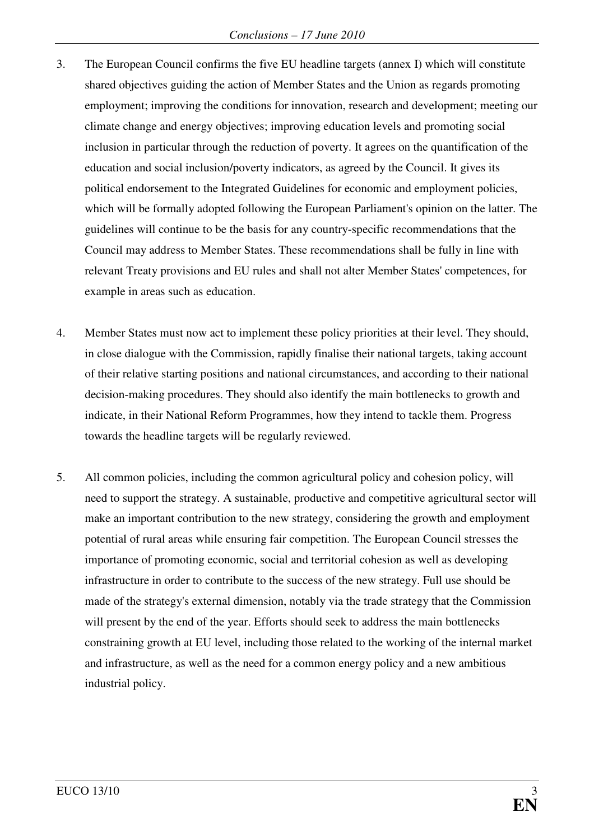- 3. The European Council confirms the five EU headline targets (annex I) which will constitute shared objectives guiding the action of Member States and the Union as regards promoting employment; improving the conditions for innovation, research and development; meeting our climate change and energy objectives; improving education levels and promoting social inclusion in particular through the reduction of poverty. It agrees on the quantification of the education and social inclusion/poverty indicators, as agreed by the Council. It gives its political endorsement to the Integrated Guidelines for economic and employment policies, which will be formally adopted following the European Parliament's opinion on the latter. The guidelines will continue to be the basis for any country-specific recommendations that the Council may address to Member States. These recommendations shall be fully in line with relevant Treaty provisions and EU rules and shall not alter Member States' competences, for example in areas such as education.
- 4. Member States must now act to implement these policy priorities at their level. They should, in close dialogue with the Commission, rapidly finalise their national targets, taking account of their relative starting positions and national circumstances, and according to their national decision-making procedures. They should also identify the main bottlenecks to growth and indicate, in their National Reform Programmes, how they intend to tackle them. Progress towards the headline targets will be regularly reviewed.
- 5. All common policies, including the common agricultural policy and cohesion policy, will need to support the strategy. A sustainable, productive and competitive agricultural sector will make an important contribution to the new strategy, considering the growth and employment potential of rural areas while ensuring fair competition. The European Council stresses the importance of promoting economic, social and territorial cohesion as well as developing infrastructure in order to contribute to the success of the new strategy. Full use should be made of the strategy's external dimension, notably via the trade strategy that the Commission will present by the end of the year. Efforts should seek to address the main bottlenecks constraining growth at EU level, including those related to the working of the internal market and infrastructure, as well as the need for a common energy policy and a new ambitious industrial policy.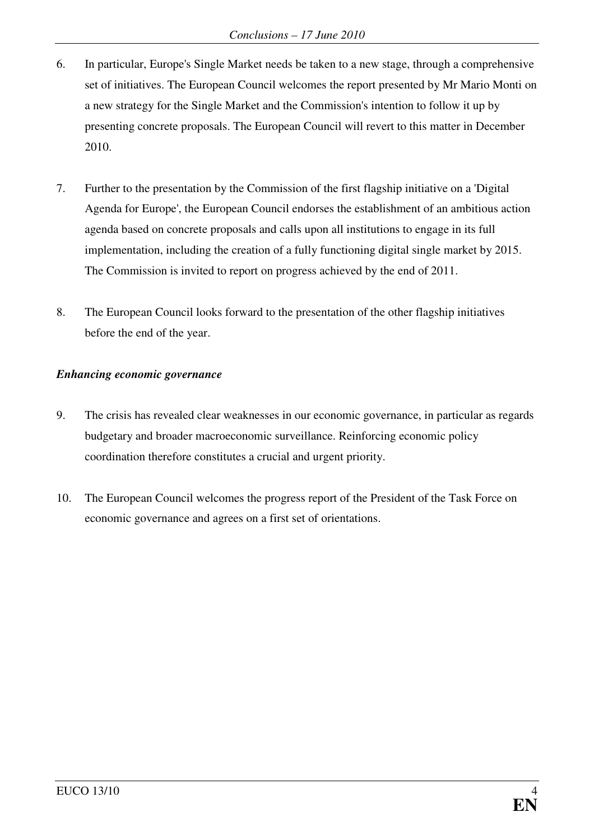- 6. In particular, Europe's Single Market needs be taken to a new stage, through a comprehensive set of initiatives. The European Council welcomes the report presented by Mr Mario Monti on a new strategy for the Single Market and the Commission's intention to follow it up by presenting concrete proposals. The European Council will revert to this matter in December 2010.
- 7. Further to the presentation by the Commission of the first flagship initiative on a 'Digital Agenda for Europe', the European Council endorses the establishment of an ambitious action agenda based on concrete proposals and calls upon all institutions to engage in its full implementation, including the creation of a fully functioning digital single market by 2015. The Commission is invited to report on progress achieved by the end of 2011.
- 8. The European Council looks forward to the presentation of the other flagship initiatives before the end of the year.

#### *Enhancing economic governance*

- 9. The crisis has revealed clear weaknesses in our economic governance, in particular as regards budgetary and broader macroeconomic surveillance. Reinforcing economic policy coordination therefore constitutes a crucial and urgent priority.
- 10. The European Council welcomes the progress report of the President of the Task Force on economic governance and agrees on a first set of orientations.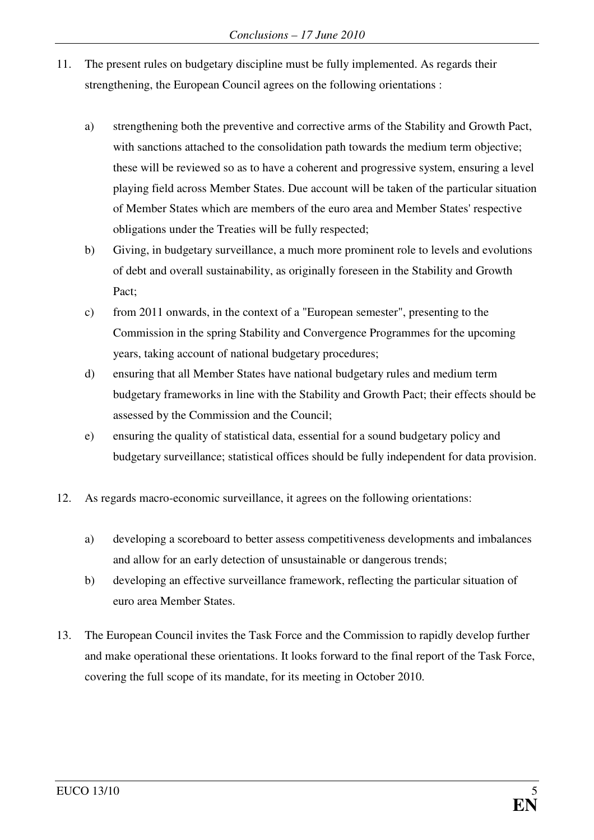- 11. The present rules on budgetary discipline must be fully implemented. As regards their strengthening, the European Council agrees on the following orientations :
	- a) strengthening both the preventive and corrective arms of the Stability and Growth Pact, with sanctions attached to the consolidation path towards the medium term objective; these will be reviewed so as to have a coherent and progressive system, ensuring a level playing field across Member States. Due account will be taken of the particular situation of Member States which are members of the euro area and Member States' respective obligations under the Treaties will be fully respected;
	- b) Giving, in budgetary surveillance, a much more prominent role to levels and evolutions of debt and overall sustainability, as originally foreseen in the Stability and Growth Pact;
	- c) from 2011 onwards, in the context of a "European semester", presenting to the Commission in the spring Stability and Convergence Programmes for the upcoming years, taking account of national budgetary procedures;
	- d) ensuring that all Member States have national budgetary rules and medium term budgetary frameworks in line with the Stability and Growth Pact; their effects should be assessed by the Commission and the Council;
	- e) ensuring the quality of statistical data, essential for a sound budgetary policy and budgetary surveillance; statistical offices should be fully independent for data provision.
- 12. As regards macro-economic surveillance, it agrees on the following orientations:
	- a) developing a scoreboard to better assess competitiveness developments and imbalances and allow for an early detection of unsustainable or dangerous trends;
	- b) developing an effective surveillance framework, reflecting the particular situation of euro area Member States.
- 13. The European Council invites the Task Force and the Commission to rapidly develop further and make operational these orientations. It looks forward to the final report of the Task Force, covering the full scope of its mandate, for its meeting in October 2010.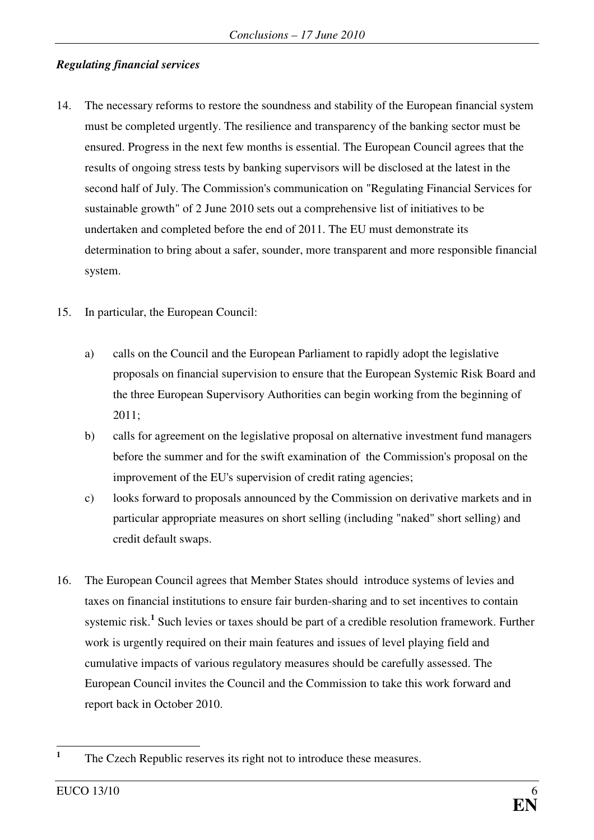#### *Regulating financial services*

- 14. The necessary reforms to restore the soundness and stability of the European financial system must be completed urgently. The resilience and transparency of the banking sector must be ensured. Progress in the next few months is essential. The European Council agrees that the results of ongoing stress tests by banking supervisors will be disclosed at the latest in the second half of July. The Commission's communication on "Regulating Financial Services for sustainable growth" of 2 June 2010 sets out a comprehensive list of initiatives to be undertaken and completed before the end of 2011. The EU must demonstrate its determination to bring about a safer, sounder, more transparent and more responsible financial system.
- 15. In particular, the European Council:
	- a) calls on the Council and the European Parliament to rapidly adopt the legislative proposals on financial supervision to ensure that the European Systemic Risk Board and the three European Supervisory Authorities can begin working from the beginning of 2011;
	- b) calls for agreement on the legislative proposal on alternative investment fund managers before the summer and for the swift examination of the Commission's proposal on the improvement of the EU's supervision of credit rating agencies;
	- c) looks forward to proposals announced by the Commission on derivative markets and in particular appropriate measures on short selling (including "naked" short selling) and credit default swaps.
- 16. The European Council agrees that Member States should introduce systems of levies and taxes on financial institutions to ensure fair burden-sharing and to set incentives to contain systemic risk.<sup>1</sup> Such levies or taxes should be part of a credible resolution framework. Further work is urgently required on their main features and issues of level playing field and cumulative impacts of various regulatory measures should be carefully assessed. The European Council invites the Council and the Commission to take this work forward and report back in October 2010.

 **1** The Czech Republic reserves its right not to introduce these measures.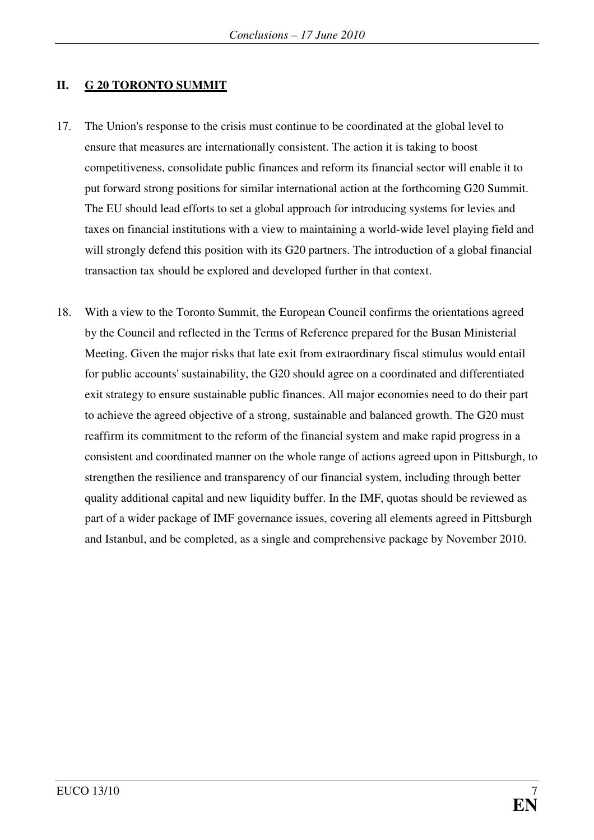#### **II. G 20 TORONTO SUMMIT**

- 17. The Union's response to the crisis must continue to be coordinated at the global level to ensure that measures are internationally consistent. The action it is taking to boost competitiveness, consolidate public finances and reform its financial sector will enable it to put forward strong positions for similar international action at the forthcoming G20 Summit. The EU should lead efforts to set a global approach for introducing systems for levies and taxes on financial institutions with a view to maintaining a world-wide level playing field and will strongly defend this position with its G20 partners. The introduction of a global financial transaction tax should be explored and developed further in that context.
- 18. With a view to the Toronto Summit, the European Council confirms the orientations agreed by the Council and reflected in the Terms of Reference prepared for the Busan Ministerial Meeting. Given the major risks that late exit from extraordinary fiscal stimulus would entail for public accounts' sustainability, the G20 should agree on a coordinated and differentiated exit strategy to ensure sustainable public finances. All major economies need to do their part to achieve the agreed objective of a strong, sustainable and balanced growth. The G20 must reaffirm its commitment to the reform of the financial system and make rapid progress in a consistent and coordinated manner on the whole range of actions agreed upon in Pittsburgh, to strengthen the resilience and transparency of our financial system, including through better quality additional capital and new liquidity buffer. In the IMF, quotas should be reviewed as part of a wider package of IMF governance issues, covering all elements agreed in Pittsburgh and Istanbul, and be completed, as a single and comprehensive package by November 2010.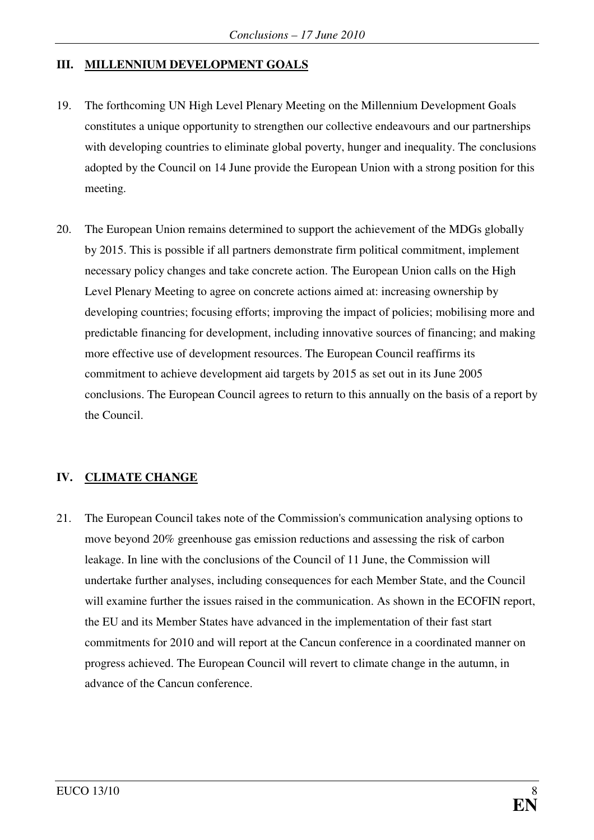#### **III. MILLENNIUM DEVELOPMENT GOALS**

- 19. The forthcoming UN High Level Plenary Meeting on the Millennium Development Goals constitutes a unique opportunity to strengthen our collective endeavours and our partnerships with developing countries to eliminate global poverty, hunger and inequality. The conclusions adopted by the Council on 14 June provide the European Union with a strong position for this meeting.
- 20. The European Union remains determined to support the achievement of the MDGs globally by 2015. This is possible if all partners demonstrate firm political commitment, implement necessary policy changes and take concrete action. The European Union calls on the High Level Plenary Meeting to agree on concrete actions aimed at: increasing ownership by developing countries; focusing efforts; improving the impact of policies; mobilising more and predictable financing for development, including innovative sources of financing; and making more effective use of development resources. The European Council reaffirms its commitment to achieve development aid targets by 2015 as set out in its June 2005 conclusions. The European Council agrees to return to this annually on the basis of a report by the Council.

## **IV. CLIMATE CHANGE**

21. The European Council takes note of the Commission's communication analysing options to move beyond 20% greenhouse gas emission reductions and assessing the risk of carbon leakage. In line with the conclusions of the Council of 11 June, the Commission will undertake further analyses, including consequences for each Member State, and the Council will examine further the issues raised in the communication. As shown in the ECOFIN report, the EU and its Member States have advanced in the implementation of their fast start commitments for 2010 and will report at the Cancun conference in a coordinated manner on progress achieved. The European Council will revert to climate change in the autumn, in advance of the Cancun conference.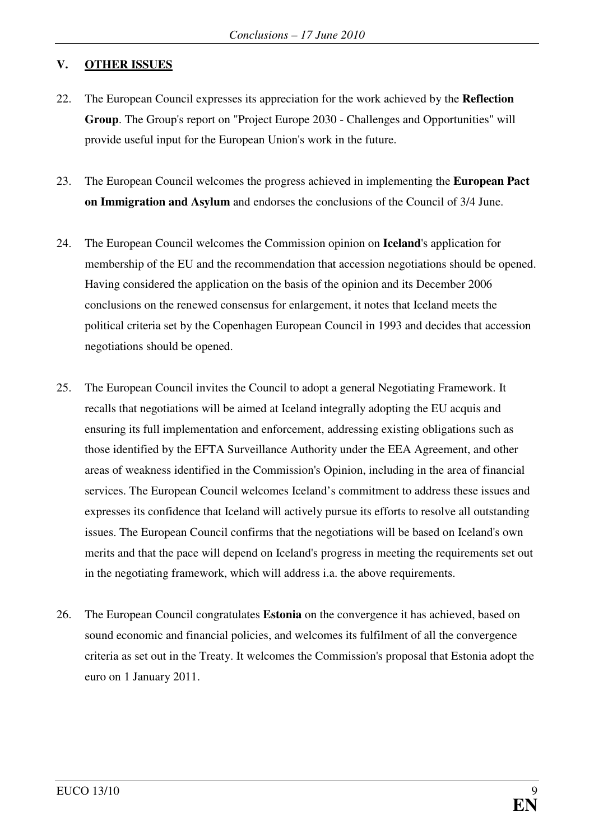#### **V. OTHER ISSUES**

- 22. The European Council expresses its appreciation for the work achieved by the **Reflection Group**. The Group's report on "Project Europe 2030 - Challenges and Opportunities" will provide useful input for the European Union's work in the future.
- 23. The European Council welcomes the progress achieved in implementing the **European Pact on Immigration and Asylum** and endorses the conclusions of the Council of 3/4 June.
- 24. The European Council welcomes the Commission opinion on **Iceland**'s application for membership of the EU and the recommendation that accession negotiations should be opened. Having considered the application on the basis of the opinion and its December 2006 conclusions on the renewed consensus for enlargement, it notes that Iceland meets the political criteria set by the Copenhagen European Council in 1993 and decides that accession negotiations should be opened.
- 25. The European Council invites the Council to adopt a general Negotiating Framework. It recalls that negotiations will be aimed at Iceland integrally adopting the EU acquis and ensuring its full implementation and enforcement, addressing existing obligations such as those identified by the EFTA Surveillance Authority under the EEA Agreement, and other areas of weakness identified in the Commission's Opinion, including in the area of financial services. The European Council welcomes Iceland's commitment to address these issues and expresses its confidence that Iceland will actively pursue its efforts to resolve all outstanding issues. The European Council confirms that the negotiations will be based on Iceland's own merits and that the pace will depend on Iceland's progress in meeting the requirements set out in the negotiating framework, which will address i.a. the above requirements.
- 26. The European Council congratulates **Estonia** on the convergence it has achieved, based on sound economic and financial policies, and welcomes its fulfilment of all the convergence criteria as set out in the Treaty. It welcomes the Commission's proposal that Estonia adopt the euro on 1 January 2011.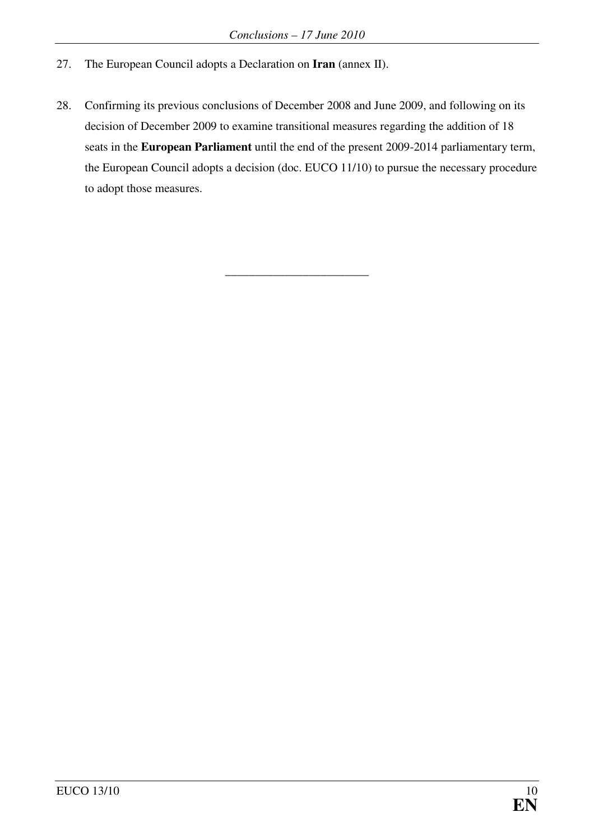- 27. The European Council adopts a Declaration on **Iran** (annex II).
- 28. Confirming its previous conclusions of December 2008 and June 2009, and following on its decision of December 2009 to examine transitional measures regarding the addition of 18 seats in the **European Parliament** until the end of the present 2009-2014 parliamentary term, the European Council adopts a decision (doc. EUCO 11/10) to pursue the necessary procedure to adopt those measures.

\_\_\_\_\_\_\_\_\_\_\_\_\_\_\_\_\_\_\_\_\_\_\_\_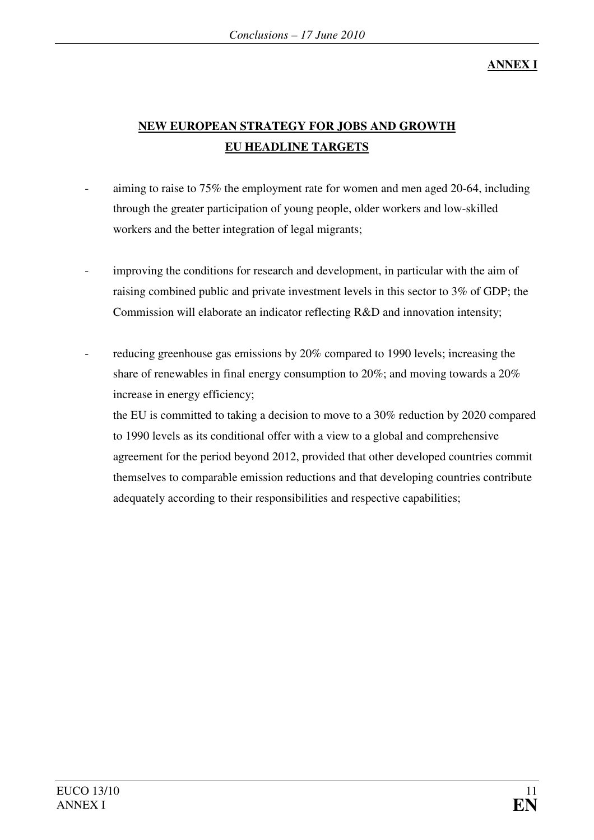## **ANNEX I**

## **NEW EUROPEAN STRATEGY FOR JOBS AND GROWTH EU HEADLINE TARGETS**

- aiming to raise to 75% the employment rate for women and men aged 20-64, including through the greater participation of young people, older workers and low-skilled workers and the better integration of legal migrants;
	- improving the conditions for research and development, in particular with the aim of raising combined public and private investment levels in this sector to 3% of GDP; the Commission will elaborate an indicator reflecting R&D and innovation intensity;
- reducing greenhouse gas emissions by 20% compared to 1990 levels; increasing the share of renewables in final energy consumption to 20%; and moving towards a 20% increase in energy efficiency;

the EU is committed to taking a decision to move to a 30% reduction by 2020 compared to 1990 levels as its conditional offer with a view to a global and comprehensive agreement for the period beyond 2012, provided that other developed countries commit themselves to comparable emission reductions and that developing countries contribute adequately according to their responsibilities and respective capabilities;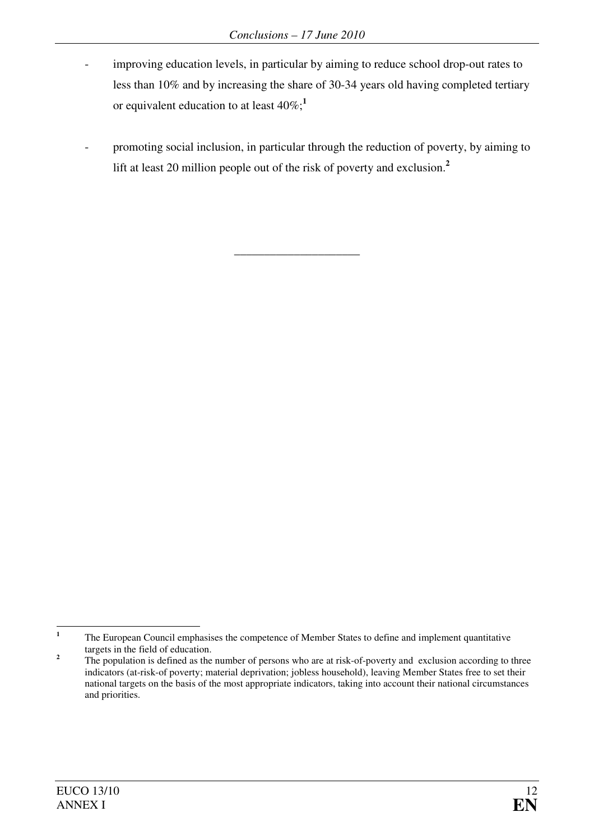- improving education levels, in particular by aiming to reduce school drop-out rates to less than 10% and by increasing the share of 30-34 years old having completed tertiary or equivalent education to at least 40%;**<sup>1</sup>**
- promoting social inclusion, in particular through the reduction of poverty, by aiming to lift at least 20 million people out of the risk of poverty and exclusion.**<sup>2</sup>**

\_\_\_\_\_\_\_\_\_\_\_\_\_\_\_\_\_\_\_\_\_

 **1** The European Council emphasises the competence of Member States to define and implement quantitative targets in the field of education.

**<sup>2</sup>** The population is defined as the number of persons who are at risk-of-poverty and exclusion according to three indicators (at-risk-of poverty; material deprivation; jobless household), leaving Member States free to set their national targets on the basis of the most appropriate indicators, taking into account their national circumstances and priorities.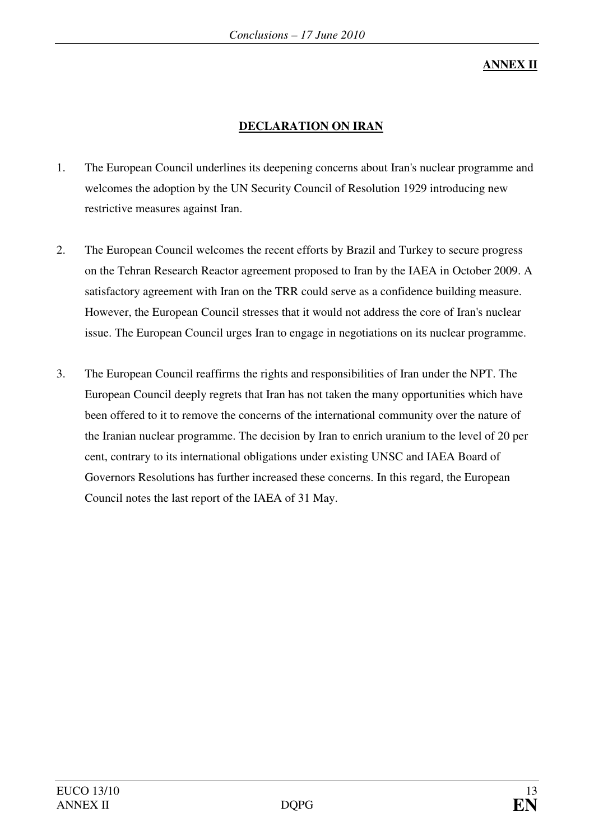**ANNEX II**

## **DECLARATION ON IRAN**

- 1. The European Council underlines its deepening concerns about Iran's nuclear programme and welcomes the adoption by the UN Security Council of Resolution 1929 introducing new restrictive measures against Iran.
- 2. The European Council welcomes the recent efforts by Brazil and Turkey to secure progress on the Tehran Research Reactor agreement proposed to Iran by the IAEA in October 2009. A satisfactory agreement with Iran on the TRR could serve as a confidence building measure. However, the European Council stresses that it would not address the core of Iran's nuclear issue. The European Council urges Iran to engage in negotiations on its nuclear programme.
- 3. The European Council reaffirms the rights and responsibilities of Iran under the NPT. The European Council deeply regrets that Iran has not taken the many opportunities which have been offered to it to remove the concerns of the international community over the nature of the Iranian nuclear programme. The decision by Iran to enrich uranium to the level of 20 per cent, contrary to its international obligations under existing UNSC and IAEA Board of Governors Resolutions has further increased these concerns. In this regard, the European Council notes the last report of the IAEA of 31 May.